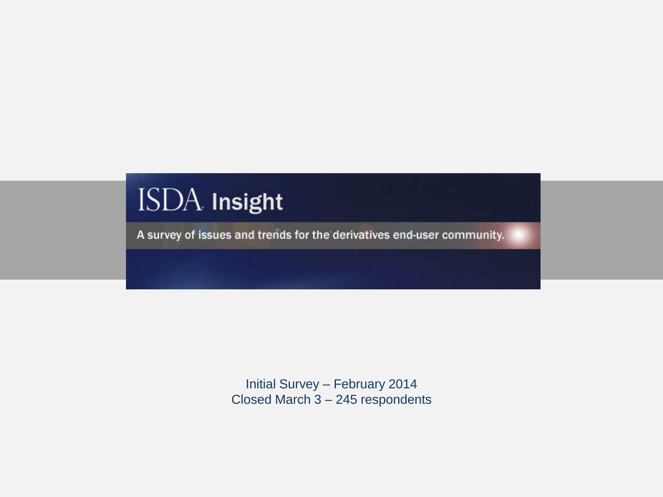# ISDA Insight

A survey of issues and trends for the derivatives end-user community.

Initial Survey – February 2014 Closed March 3 – 245 respondents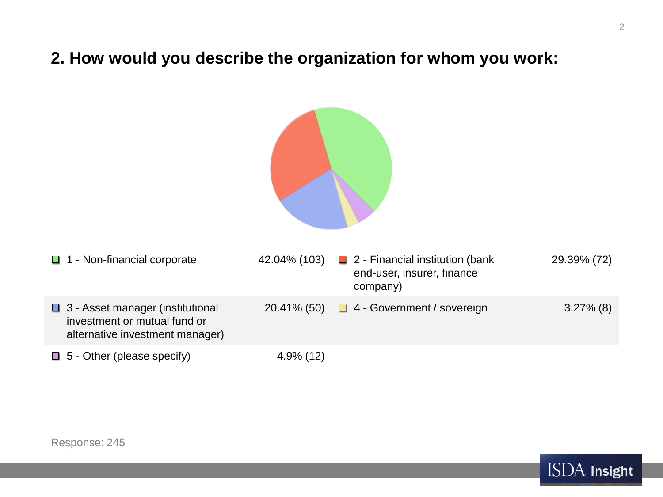# **2. How would you describe the organization for whom you work:**

| $\Box$ | 1 - Non-financial corporate                                                                           | 42.04% (103) | $\Box$ 2 - Financial institution (bank<br>end-user, insurer, finance<br>company) | 29.39% (72)  |
|--------|-------------------------------------------------------------------------------------------------------|--------------|----------------------------------------------------------------------------------|--------------|
|        | □ 3 - Asset manager (institutional<br>investment or mutual fund or<br>alternative investment manager) | 20.41% (50)  | $\Box$ 4 - Government / sovereign                                                | $3.27\%$ (8) |
| $\Box$ | 5 - Other (please specify)                                                                            | $4.9\%$ (12) |                                                                                  |              |

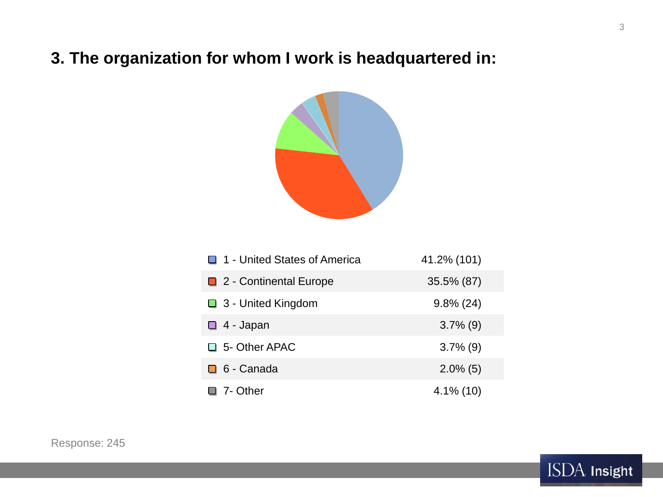# **3. The organization for whom I work is headquartered in:**



| 1 - United States of America  | 41.2% (101)  |
|-------------------------------|--------------|
| $\Box$ 2 - Continental Europe | 35.5% (87)   |
| $\Box$ 3 - United Kingdom     | $9.8\%$ (24) |
| $\Box$ 4 - Japan              | $3.7\%$ (9)  |
| $\Box$ 5- Other APAC          | $3.7\%$ (9)  |
| $\Box$ 6 - Canada             | $2.0\%$ (5)  |
| 7- Other                      | $4.1\%$ (10) |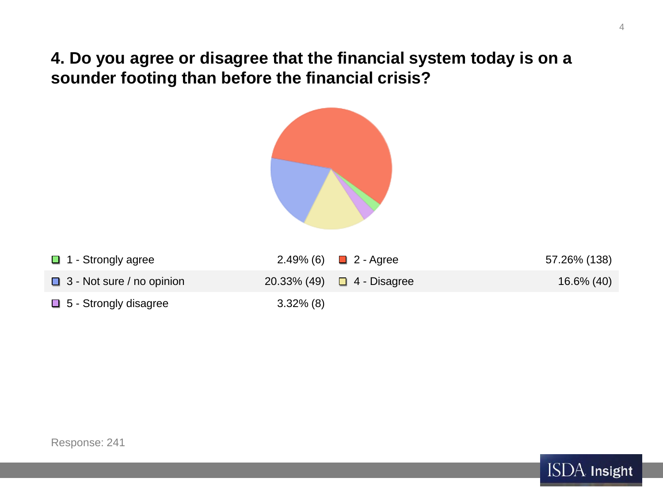**4. Do you agree or disagree that the financial system today is on a sounder footing than before the financial crisis?**



| $\Box$ 1 - Strongly agree        |              | $2.49\%$ (6) ■ 2 - Agree        | 57.26% (138) |
|----------------------------------|--------------|---------------------------------|--------------|
| $\Box$ 3 - Not sure / no opinion |              | 20.33% (49) $\Box$ 4 - Disagree | 16.6% (40)   |
| $\Box$ 5 - Strongly disagree     | $3.32\%$ (8) |                                 |              |

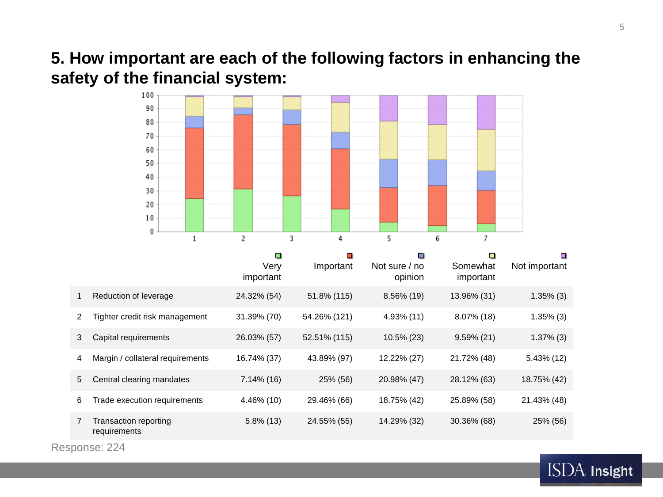# **5. How important are each of the following factors in enhancing the safety of the financial system:**



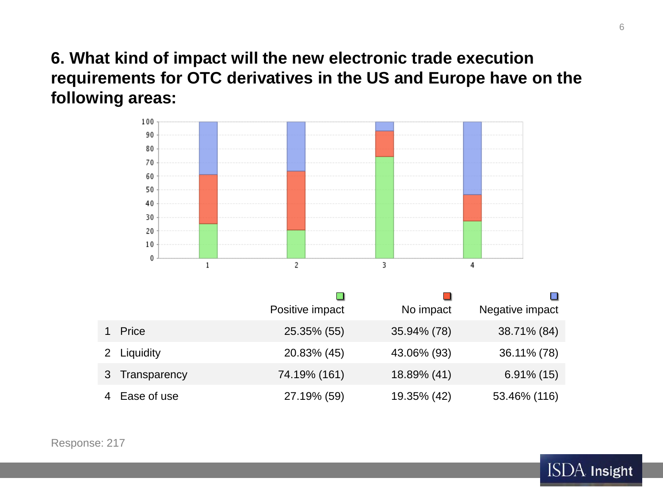**6. What kind of impact will the new electronic trade execution requirements for OTC derivatives in the US and Europe have on the following areas:**



|    |              | Positive impact | No impact   | Negative impact |
|----|--------------|-----------------|-------------|-----------------|
|    | Price        | 25.35% (55)     | 35.94% (78) | 38.71% (84)     |
|    | 2 Liquidity  | 20.83% (45)     | 43.06% (93) | 36.11% (78)     |
| 3. | Transparency | 74.19% (161)    | 18.89% (41) | $6.91\%$ (15)   |
|    | Ease of use  | 27.19% (59)     | 19.35% (42) | 53.46% (116)    |

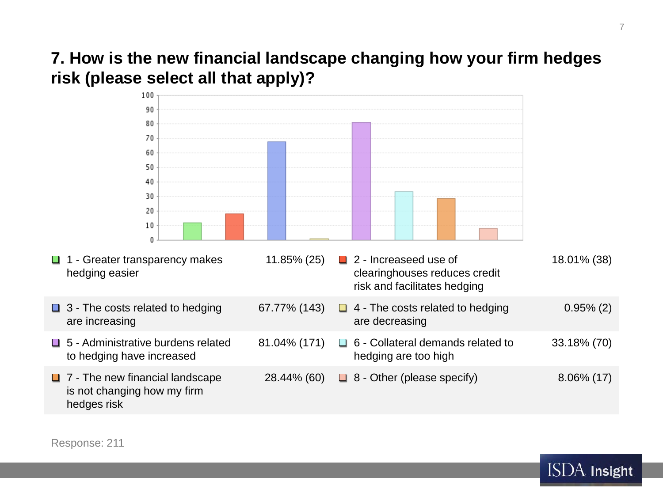# **7. How is the new financial landscape changing how your firm hedges risk (please select all that apply)?**



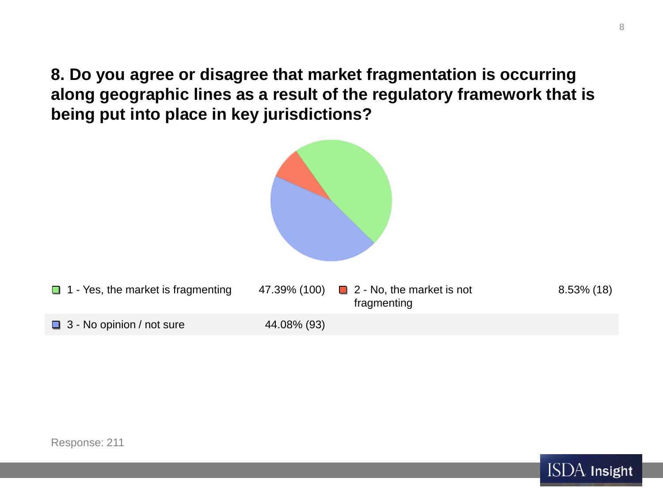**8. Do you agree or disagree that market fragmentation is occurring along geographic lines as a result of the regulatory framework that is being put into place in key jurisdictions?**



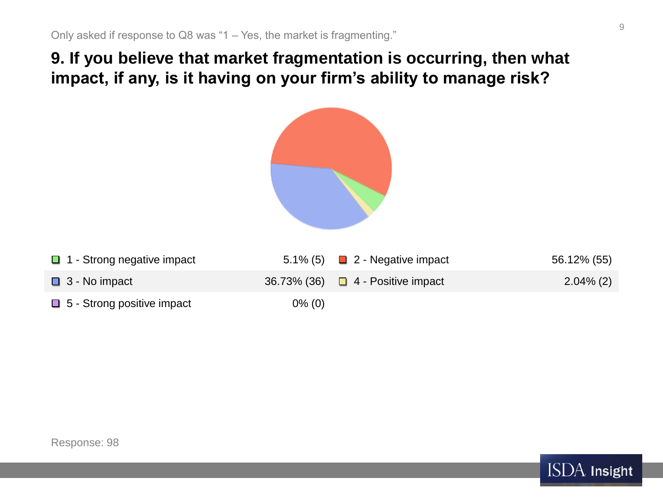# **9. If you believe that market fragmentation is occurring, then what impact, if any, is it having on your firm's ability to manage risk?**



| $\Box$ 1 - Strong negative impact |           | 5.1% (5) $\Box$ 2 - Negative impact    | 56.12% (55)  |
|-----------------------------------|-----------|----------------------------------------|--------------|
| $\Box$ 3 - No impact              |           | 36.73% (36) $\Box$ 4 - Positive impact | $2.04\%$ (2) |
| $\Box$ 5 - Strong positive impact | $0\%$ (0) |                                        |              |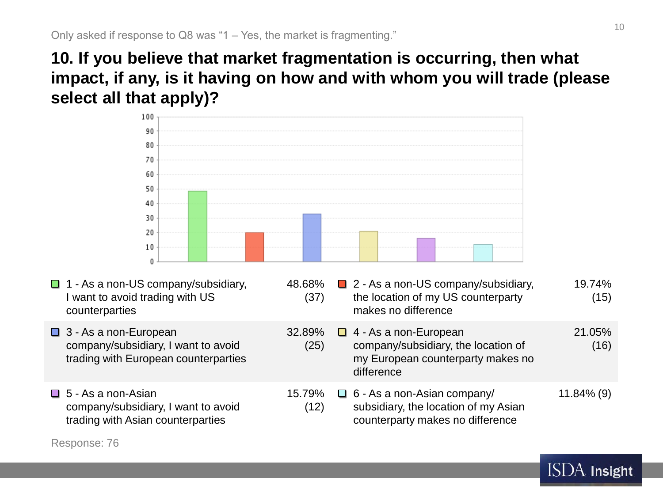**10. If you believe that market fragmentation is occurring, then what impact, if any, is it having on how and with whom you will trade (please select all that apply)?**



- $\Box$  1 As a non-US company/subsidiary, I want to avoid trading with US counterparties
- **□ 3 As a non-European** company/subsidiary, I want to avoid trading with European counterparties
- $\Box$  5 As a non-Asian company/subsidiary, I want to avoid trading with Asian counterparties

48.68% (37) ■ 2 - As a non-US company/subsidiary. the location of my US counterparty makes no difference 19.74% (15) 32.89% (25)  $\Box$  4 - As a non-European company/subsidiary, the location of my European counterparty makes no difference 21.05% (16) 15.79% (12)  $\Box$  6 - As a non-Asian company/ subsidiary, the location of my Asian counterparty makes no difference 11.84% (9)

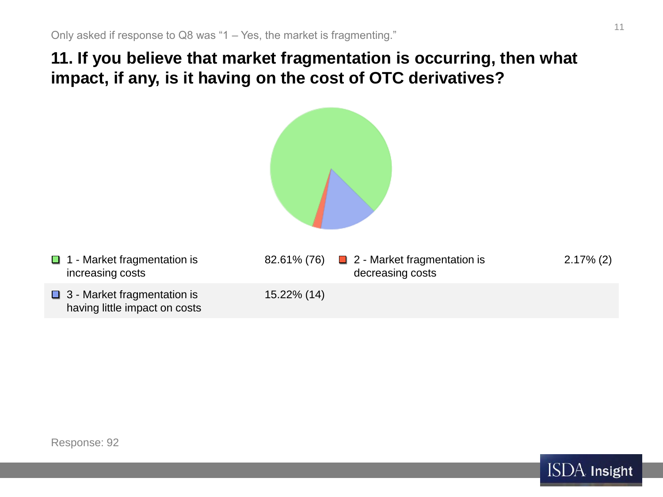**11. If you believe that market fragmentation is occurring, then what impact, if any, is it having on the cost of OTC derivatives?**



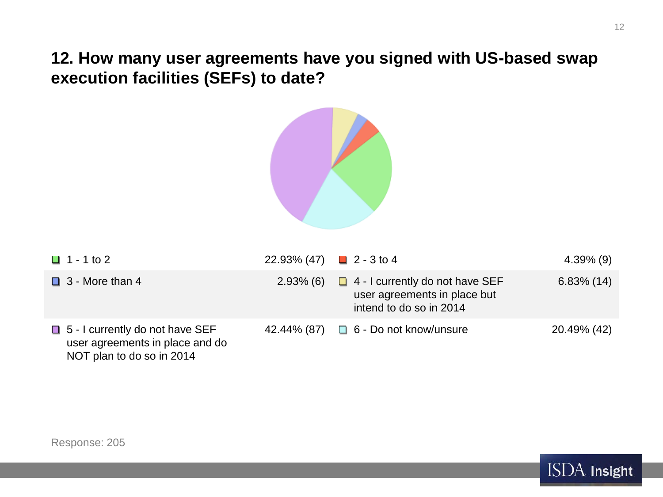**12. How many user agreements have you signed with US-based swap execution facilities (SEFs) to date?**



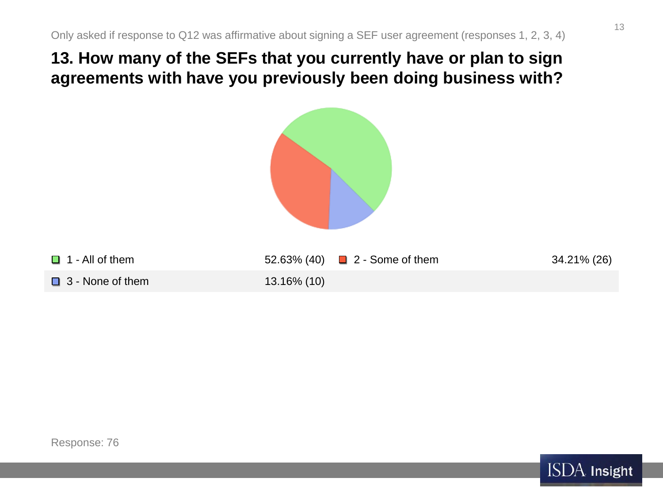# **13. How many of the SEFs that you currently have or plan to sign agreements with have you previously been doing business with?**





13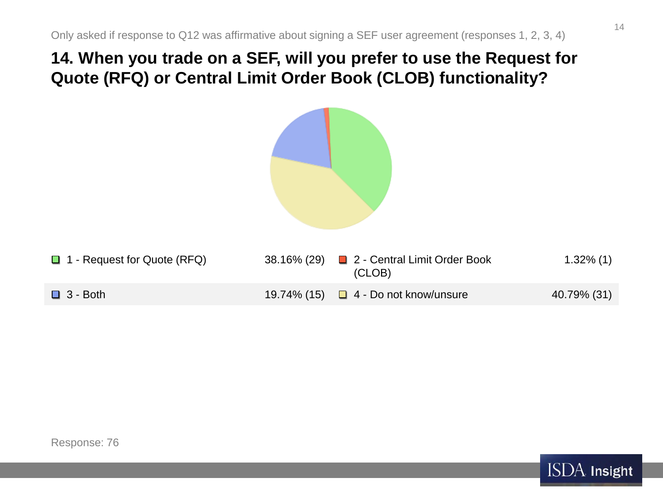### **14. When you trade on a SEF, will you prefer to use the Request for Quote (RFQ) or Central Limit Order Book (CLOB) functionality?**

| □ 1 - Request for Quote (RFQ) | 38.16% (29) | 2 - Central Limit Order Book<br>(CLOB) | $1.32\%$ (1) |
|-------------------------------|-------------|----------------------------------------|--------------|
| $\Box$ 3 - Both               | 19.74% (15) | $\Box$ 4 - Do not know/unsure          | 40.79% (31)  |

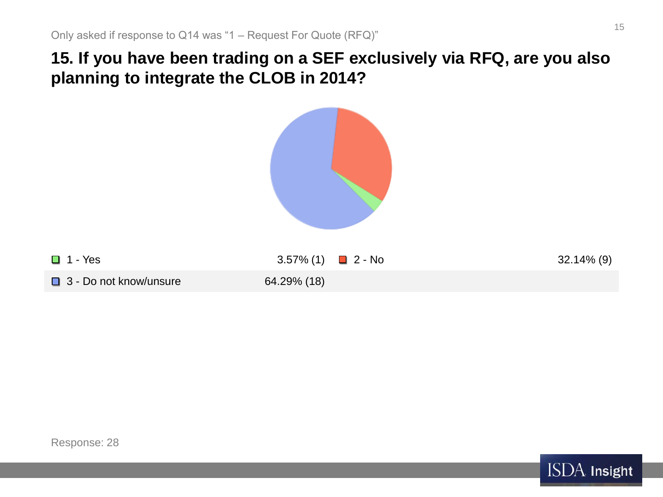# **15. If you have been trading on a SEF exclusively via RFQ, are you also planning to integrate the CLOB in 2014?**



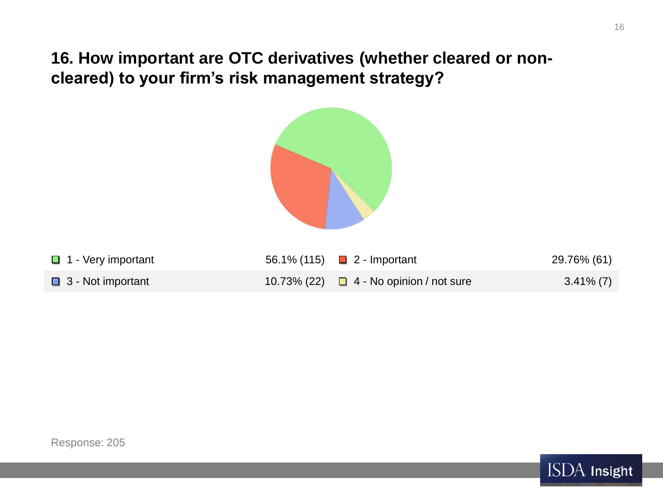**16. How important are OTC derivatives (whether cleared or noncleared) to your firm's risk management strategy?**





16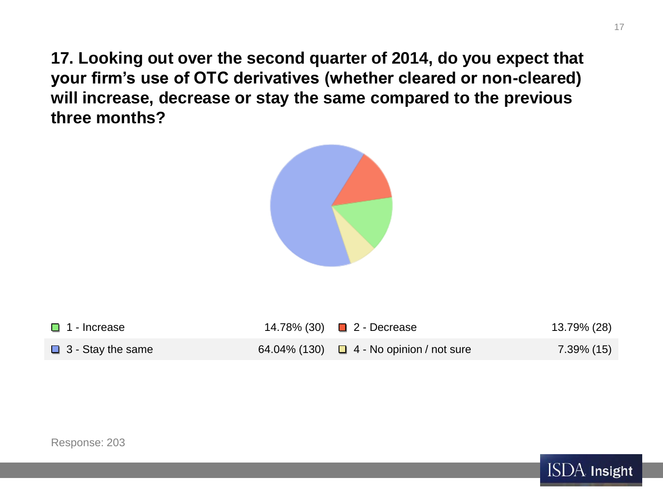**17. Looking out over the second quarter of 2014, do you expect that your firm's use of OTC derivatives (whether cleared or non-cleared) will increase, decrease or stay the same compared to the previous three months?**



| $\Box$ 1 - Increase      | 14.78% (30) ■ 2 - Decrease                    | 13.79% (28) |
|--------------------------|-----------------------------------------------|-------------|
| $\Box$ 3 - Stay the same | 64.04% (130) $\Box$ 4 - No opinion / not sure | 7.39% (15)  |

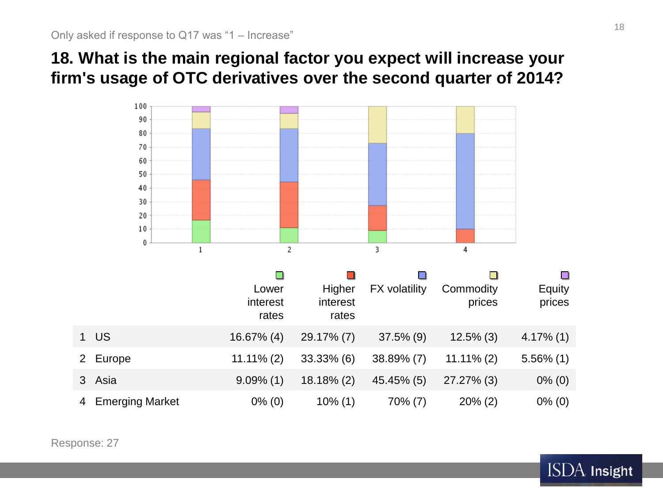# **18. What is the main regional factor you expect will increase your firm's usage of OTC derivatives over the second quarter of 2014?**